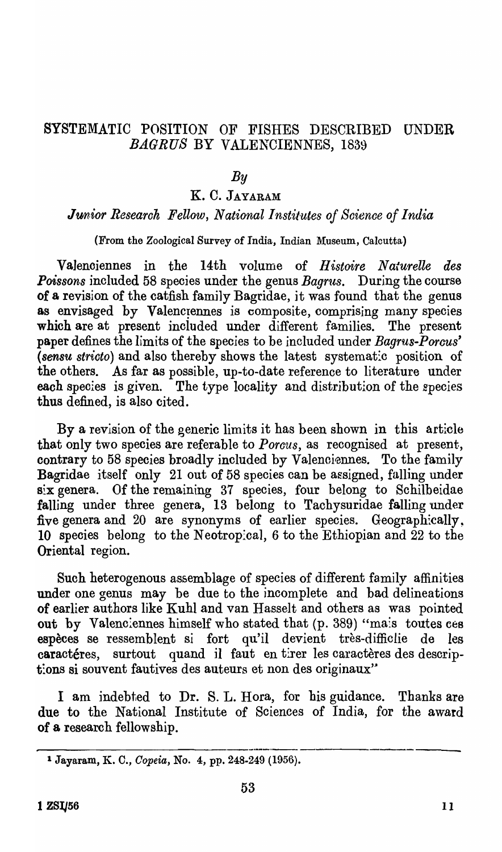### SYSTEMATIC POSITION OF FISHES DESCRIBED UNDER *BAGRUS* BY VALENCIENNES, 1839

#### *By*

### K. C. JAYARAM

#### *Junior Research Fellow, National Institutes of Science of India*

(From the Zoological Survey of India, Indian Museum, Calcutta)

Valenciennes in the 14th volume of *Histoire Naturelle des Poissons* included 58 species under the genus *Bagrus*. During the course of a revision of the catfish family Bagridae, it was found that the genus as envisaged by Valencrennes is composite, comprising many species which are at present included under different families. The present paper defines the limits of the species to be included under *Bagrus-Porcus' (sensu strioto)* and also thereby shows the latest systemat:c position of the others. As far as possible, up-to-date reference to literature under each species is given. The type locality and distribution of the species thus defined, is also cited.

By a revision of the generic limits it has been shown in this article that only two species are referable to *Porous,* as recognised at present., contrary to 58 species broadly included by Valenciennes. To the family Bagridae itself only 21 out of 58 species can be assigned, falling under six genera. Of the remaining 37 species, four belong to Schilbeidae falling under three genera, 13 belong to Tachysuridae falling under five genera and 20 are synonyms of earlier species. Geographically, 10 species belong to the Neotropical, 6 to the Ethiopian and  $22$  to the Oriental region.

Such heterogenous assemblage of species of different family affinities under one genus may be due to the incomplete and bad delineations of earlier authors like Kuhl and van Hasselt and others as was pointed out by Valenciennes himself who stated that (p. 389) "mais toutes ces espèces se ressemblent si fort qu'il devient très-diffic lie de les caractéres, surtout quand il faut en tirer les caractères des descript:ons si souvent fautives des auteurs et non des originaux'"

I am indebted to Dr. S. L. Hora, for bis guidance. Thanks are due to the National Institute of Sciences of India, for the award of a research fellowship.

<sup>1</sup>Jayaram, K. C., *Oopeia,* No.4, pp. 248-249 (1956).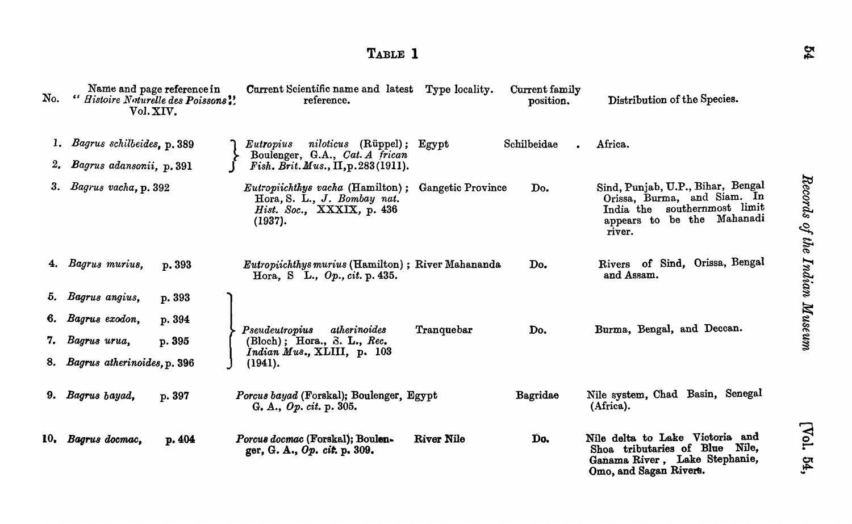# TABLE 1

| No.                    | Name and page reference in<br>" Histoire Noturelle des Poissons!<br>Vol. XIV. | Current Scientific name and latest<br>reference.                                                               | Type locality.           | Current family<br>position. | Distribution of the Species.                                                                                                             |
|------------------------|-------------------------------------------------------------------------------|----------------------------------------------------------------------------------------------------------------|--------------------------|-----------------------------|------------------------------------------------------------------------------------------------------------------------------------------|
|                        | 1. Bagrus schilbeides, p. 389                                                 | <i>Eutropius</i> niloticus (Rüppel);                                                                           | ${\bf Egypt}$            | Schilbeidae                 | Africa.                                                                                                                                  |
| $\mathbf{z}_{\bullet}$ | Bagrus adansonii, p. 391                                                      | Boulenger, G.A., Cat. A frican<br>Fish. Brit. Mus., II, p. 283 (1911).                                         |                          |                             |                                                                                                                                          |
| 3.                     | Bagrus vacha, p. 392                                                          | <i>Eutropiichthys vacha</i> (Hamilton);<br>Hora, S. L., J. Bombay nat.<br>Hist. Soc., XXXIX, p. 436<br>(1937). | <b>Gangetic Province</b> | Do.                         | Sind, Punjab, U.P., Bihar, Bengal<br>Orissa, Burma, and Siam. In<br>India the southernmost limit<br>appears to be the Mahanadi<br>river. |
|                        | 4. Bagrus murius,<br>p. 393                                                   | Eutropiichthys murius (Hamilton); River Mahananda<br>Hora, S L., $Op.$ , cit. p. 435.                          |                          | Do.                         | Rivers of Sind, Orissa, Bengal<br>and Assam.                                                                                             |
| 5.                     | Bagrus angius,<br>p. 393                                                      |                                                                                                                |                          |                             |                                                                                                                                          |
| 6.                     | Bagrus exodon,<br>p. 394                                                      | Pseudeutropius<br>atherinoides                                                                                 | Tranquebar               | Do.                         | Burma, Bengal, and Deccan.                                                                                                               |
|                        | Bagrus urua,<br>p. 395                                                        | $(Bloch)$ ; Hora., S. L., Rec.<br>Indian Mus., XLIII, p. 103                                                   |                          |                             |                                                                                                                                          |
|                        | 8. Bagrus atherinoides, p. 396                                                | (1941).                                                                                                        |                          |                             |                                                                                                                                          |
|                        | 9. Bagrus bayad,<br>p. 397                                                    | Porcus bayad (Forskal); Boulenger, Egypt<br>G. A., $Op. cit. p. 305.$                                          |                          | <b>Bagridae</b>             | Nile system, Chad Basin, Senegal<br>(Africa).                                                                                            |
| 10,                    | Bagrus docmac,<br>p. 404                                                      | Porcus docmac (Forskal); Boulen-<br>ger, G. A., Op. cit. p. 309.                                               | River Nile               | Do.                         | Nile delta to Lake Victoria and<br>Shoa tributaries of Blue Nile,<br>Ganama River, Lake Stephanie,<br>Omo, and Sagan Rivers.             |

Records of the Indian Museum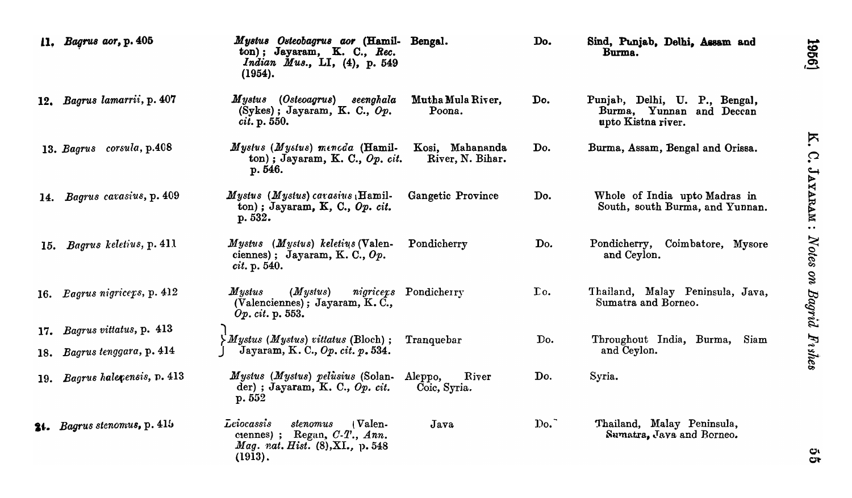|     | 11. Bagrus aor, p. 405       | Mystus Osteobagrus aor (Hamil-<br>ton); Jayaram, K. C., Rec.<br><i>Indian Mus.</i> , LI, $(4)$ , p. 549<br>(1954).         | Bengal.                             | Do.         | Sind, Punjab, Delhi, Assam and<br>Burma.                                        |
|-----|------------------------------|----------------------------------------------------------------------------------------------------------------------------|-------------------------------------|-------------|---------------------------------------------------------------------------------|
|     | 12. Bagrus lamarrii, p. 407  | Mystus (Osteoagrus) seenghala<br>$(Sykes)$ ; Jayaram, K. C., $Op.$<br>cit. p. 550.                                         | Mutha Mula River,<br>Poona.         | Do.         | Punjab, Delhi, U. P., Bengal,<br>Burma, Yunnan and Deccan<br>upto Kistna river. |
|     | 13. Bagrus corsula, p.408    | Myslus (Mystus) mencda (Hamil-<br>ton); Jayaram, K. C., $Op.$ cit.<br>p. 546.                                              | Kosi, Mahananda<br>River, N. Bihar. | Do.         | Burma, Assam, Bengal and Orissa.                                                |
| 14. | Bagrus carasius, p. 409      | <i>Mystus (Mystus) carasius</i> (Hamil-<br>ton); Jayaram, K, C., Op. cit.<br>p. 532.                                       | Gangetic Province                   | Do.         | Whole of India upto Madras in<br>South, south Burma, and Yunnan.                |
| 15. | Bagrus keletius, p. 411      | Mystus (Mystus) keletius (Valen-<br>ciennes); Jayaram, K. C., $Op.$<br><i>cit.</i> p. 540.                                 | Pondicherry                         | Do.         | Coimbatore, Mysore<br>Pondicherry,<br>and Ceylon.                               |
|     | 16. Pagrus nigriceps, p. 412 | $\it Mystus$<br>(Mystus)<br>(Valenciennes); Jayaram, K.C.,<br>Op. cit. p. 553.                                             | nigricers Pondicherry               | $\Gamma$ o. | Thailand, Malay Peninsula, Java,<br>Sumatra and Borneo.                         |
| 17. | Bagrus vittatus, p. 413      |                                                                                                                            |                                     | Do.         |                                                                                 |
| 18. | Bagrus tenggara, p. 414      | $\sum Mystus$ ( <i>Mystus</i> ) vittatus (Bloch);<br>Jayaram, K. C., Op. cit. p. 534.                                      | Tranquebar                          |             | Throughout India, Burma,<br>Siam<br>and Ceylon.                                 |
| 19. | Bagrus halepensis, p. 413    | Mystus (Mystus) pelusius (Solan-<br>der); Jayaram, K. C., $Op.$ cit.<br>p. 552                                             | Aleppo,<br>River<br>Coic, Syria.    | Do.         | Syria.                                                                          |
|     | 24. Bagrus stenomus, p. 415  | Leiocassis<br>(Valen-<br>stenomus<br>ciennes) ; Regan, $C-T$ ., Ann.<br><i>Mag. rat. Hist.</i> (8), XI., p. 548<br>(1913). | Java                                | Do.         | Thailand, Malay Peninsula,<br>Sumatra, Java and Borneo.                         |

K. C. JAYARAM : Notes on Bagrid Fishes

19561

ु<br>प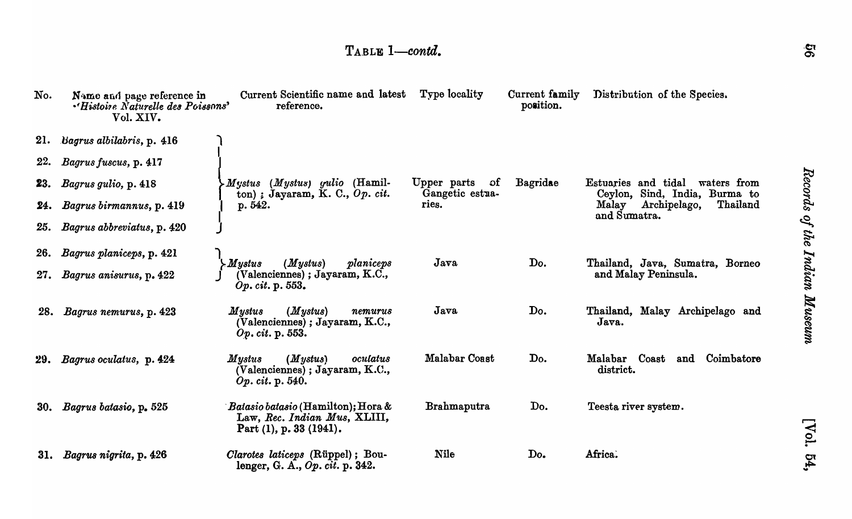| No. | Name and page reference in<br>"Histoire Naturelle des Poissons'<br>Vol. XIV. | Current Scientific name and latest<br>reference.                                                           | Type locality            | Current family<br>position. | Distribution of the Species.                                       |
|-----|------------------------------------------------------------------------------|------------------------------------------------------------------------------------------------------------|--------------------------|-----------------------------|--------------------------------------------------------------------|
|     | 21. Bagrus albilabris, p. 416                                                |                                                                                                            |                          |                             |                                                                    |
| 22. | Bagrus fuscus, p. 417                                                        |                                                                                                            |                          |                             |                                                                    |
| 23. | Bagrus gulio, p. 418                                                         | $(Mystus)$ gulio (Hamil-<br>$\boldsymbol{M}$ ystus                                                         | Upper parts<br>0f        | Bagridae                    | Estuaries and tidal<br>waters from                                 |
| 24. | Bagrus birmannus, p. 419                                                     | ton) ; Jayaram, K. C., $Op.$ cit.<br>p. 542.                                                               | Gangetic estua-<br>ries. |                             | Ceylon, Sind, India, Burma to<br>Archipelago,<br>Thailand<br>Malay |
| 25. | Bagrus abbreviatus, p. 420                                                   |                                                                                                            |                          |                             | and Sumatra.                                                       |
| 26. | Bagrus planiceps, p. 421                                                     |                                                                                                            |                          |                             |                                                                    |
| 27. | Bagrus anisurus, p. 422                                                      | $\boldsymbol{M}$ ystus<br>(Mystus)<br>planiceps<br>$(Valenciennes)$ ; Jayaram, K.C.,<br>Op. cit. p. 553.   | Java                     | Do.                         | Thailand, Java, Sumatra, Borneo<br>and Malay Peninsula.            |
| 28. | Bagrus nemurus, p. 423                                                       | (Mystus)<br>Mystus<br>nemurus<br>(Valenciennes); Jayaram, K.C.,<br>Op. cit. p. 553.                        | $J$ ava                  | Do.                         | Thailand, Malay Archipelago and<br>Java.                           |
| 29. | Bagrus oculatus, p. 424                                                      | (Mystus)<br>$\it Mystus$<br>oculatus<br>(Valenciennes); Jayaram, K.C.,<br>Op. cit. p. 540.                 | <b>Malabar Coast</b>     | Do.                         | Malabar Coast<br>and Coimbatore<br>district.                       |
| 30. | Bagrus batasio, p. 525                                                       | <i>Batasio batasio</i> (Hamilton); Hora &<br>Law, Rec. Indian Mus, XLIII,<br>Part $(1)$ , p. 33 $(1941)$ . | Brahmaputra              | Do.                         | Teesta river system.                                               |
| 31. | Bagrus nigrita, p. 426                                                       | Clarotes laticeps (Rüppel); Bou-<br>lenger, G. A., $Op. cit. p. 342.$                                      | <b>Nile</b>              | Do.                         | Africa.                                                            |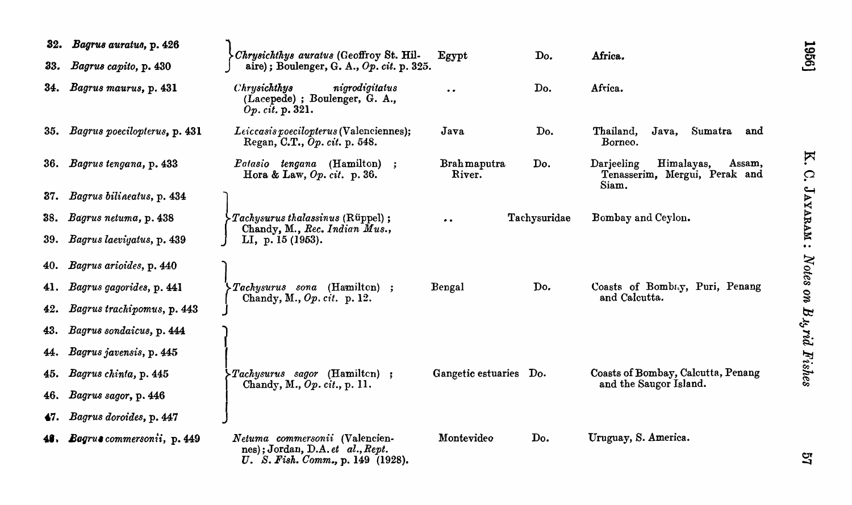| 32. | Bagrus auratus, p. 426         | Chrysichthys auratus (Geoffroy St. Hil-                                                                 | Egypt                        | Do.          | Africa.                                                                      |  |
|-----|--------------------------------|---------------------------------------------------------------------------------------------------------|------------------------------|--------------|------------------------------------------------------------------------------|--|
| 33. | Bagrus capito, p. 430          | aire); Boulenger, G. A., Op. cit. p. 325.                                                               |                              |              |                                                                              |  |
| 34. | Bagrus maurus, p. 431          | Chrysichthys<br>nigrodigitatus<br>(Lacepede) ; Boulenger, G. A.,<br>Op. cit. p. 321.                    | $\bullet$                    | Do.          | Africa.                                                                      |  |
| 35. | Bagrus poecilopterus, p. 431   | Leiccasis poecilopterus (Valenciennes);<br>Regan, C.T., Op. cit. p. 548.                                | Java                         | Do.          | Thailand,<br>Sumatra<br>Java,<br>and<br>Borneo.                              |  |
| 36. | Bagrus tengana, p. 433         | Patasio tengana (Hamilton) ;<br>Hora & Law, $Op. cit.$ p. 36.                                           | <b>Brahmaputra</b><br>River. | Do.          | Darjeeling<br>Himalayas,<br>Assam,<br>Tenasserim, Mergui, Perak and<br>Siam. |  |
| 37. | Bagrus bilineatus, p. 434      |                                                                                                         |                              |              |                                                                              |  |
| 38. | Bagrus netuma, p. 438          | $\triangleright$ Tachysurus thalassinus (Rüppel);                                                       | $\bullet$ $\bullet$          | Tachysuridae | Bombay and Ceylon.                                                           |  |
| 39. | Bagrus laeviyatus, p. 439      | Chandy, M., Rec. Indian Mus.,<br>LI, p. 15 (1953).                                                      |                              |              |                                                                              |  |
| 40. | Bagrus arioides, p. 440        |                                                                                                         |                              |              |                                                                              |  |
| 41. | Bagrus gagorides, p. 441       | $- Tachysurus$ sona (Hamilton) ;<br>Chandy, M., Op. cit. p. 12.                                         | Bengal                       | Do.          | Coasts of Bombay, Puri, Penang<br>and Calcutta.                              |  |
| 42. | Bagrus trachipomus, p. 443     |                                                                                                         |                              |              |                                                                              |  |
| 43. | Bagrus sondaicus, p. 444       |                                                                                                         |                              |              |                                                                              |  |
| 44. | Bagrus javensis, p. 445        |                                                                                                         |                              |              |                                                                              |  |
| 45. | Bagrus chinta, p. 445          | $\blacktriangleright Tachysurus$ sagor (Hamilton) ;                                                     | Gangetic estuaries Do.       |              | Coasts of Bombay, Calcutta, Penang                                           |  |
| 46. | Bagrus sagor, p. 446           | Chandy, M., Op. cit., p. 11.                                                                            |                              |              | and the Saugor Island.                                                       |  |
| 47. | Bagrus doroides, p. 447        |                                                                                                         |                              |              |                                                                              |  |
|     | 48. Bagrus commersonii, p. 449 | Netuma commersonii (Valencien-<br>nes); Jordan, D.A. et al., Rept.<br>U. S. Fish. Comm., p. 149 (1928). | Montevideo                   | Do.          | Uruguay, S. America.                                                         |  |

**K** C. JAYARAM: Notes on B.u, rid Fishes

1956]

57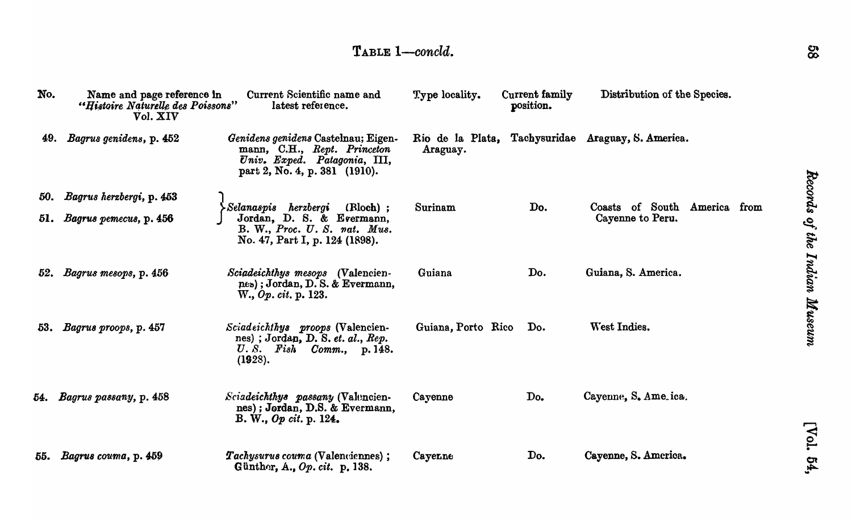# TABLE 1-concld.

| No. | Name and page reference in<br>"Histoire Naturelle des Poissons"<br>Vol. XIV | Current Scientific name and<br>latest reference.                                                                                    | Type locality.     | Current family<br>position. | Distribution of the Species.                        |
|-----|-----------------------------------------------------------------------------|-------------------------------------------------------------------------------------------------------------------------------------|--------------------|-----------------------------|-----------------------------------------------------|
| 49. | Bagrus genidens, p. 452                                                     | Genidens genidens Castelnau; Eigen-<br>mann, C.H., Rept. Princeton<br>Univ. Exped. Patagonia, III,<br>part 2, No. 4, p. 381 (1910). | Araguay.           |                             | Rio de la Plata, Tachysuridae Araguay, S. America.  |
| 50. | Bagrus herzbergi, p. 453                                                    |                                                                                                                                     |                    |                             |                                                     |
| 51. | Bagrus pemecus, p. 456                                                      | (Bloch);<br>Selanaspis herzbergi<br>Jordan, D. S. & Evermann,<br>B. W., Proc. U. S. nat. Mus.<br>No. 47, Part I, p. 124 (1898).     | Surinam            | Do.                         | Coasts of South<br>America from<br>Cayenne to Peru. |
| 52. | Bagrus mesops, p. 456                                                       | Sciadeichthys mesops (Valencien-<br>nes); Jordan, D.S. & Evermann,<br>W., Op. cit. p. 123.                                          | Guiana             | Do.                         | Guiana, S. America.                                 |
| 53. | Bagrus proops, p. 457                                                       | Sciadeichthys proops (Valencien-<br>nes); Jordan, D. S. et. al., Rep.<br>U.S. Fish Comm., p. 148.<br>(1928).                        | Guiana, Porto Rico | Do.                         | West Indies.                                        |
| 54. | Bagrus passany, p. 458                                                      | Sciadeichthys passany (Valuncien-<br>nes); Jordan, D.S. & Evermann,<br>B. W., Op cit. p. $124.$                                     | Cayenne            | Do.                         | Cayenne, S. Ame.ica.                                |
| 55. | Bagrus couma, p. 459                                                        | Tachysurus couma (Valenciennes);<br>Günther, A., Op. cit. p. 138.                                                                   | Cayenne            | Do.                         | Cayenne, S. America.                                |